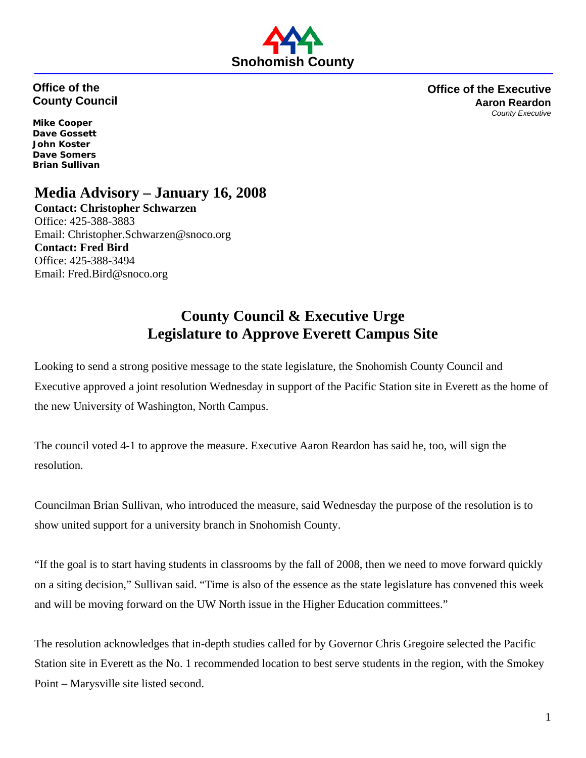

## **Office of the County Council**

**Office of the Executive Aaron Reardon** *County Executive*

**Mike Cooper Dave Gossett John Koster Dave Somers Brian Sullivan** 

## **Media Advisory – January 16, 2008**

**Contact: Christopher Schwarzen** Office: 425-388-3883 Email: Christopher.Schwarzen@snoco.org **Contact: Fred Bird**  Office: 425-388-3494 Email: Fred.Bird@snoco.org

## **County Council & Executive Urge Legislature to Approve Everett Campus Site**

Looking to send a strong positive message to the state legislature, the Snohomish County Council and Executive approved a joint resolution Wednesday in support of the Pacific Station site in Everett as the home of the new University of Washington, North Campus.

The council voted 4-1 to approve the measure. Executive Aaron Reardon has said he, too, will sign the resolution.

Councilman Brian Sullivan, who introduced the measure, said Wednesday the purpose of the resolution is to show united support for a university branch in Snohomish County.

"If the goal is to start having students in classrooms by the fall of 2008, then we need to move forward quickly on a siting decision," Sullivan said. "Time is also of the essence as the state legislature has convened this week and will be moving forward on the UW North issue in the Higher Education committees."

The resolution acknowledges that in-depth studies called for by Governor Chris Gregoire selected the Pacific Station site in Everett as the No. 1 recommended location to best serve students in the region, with the Smokey Point – Marysville site listed second.